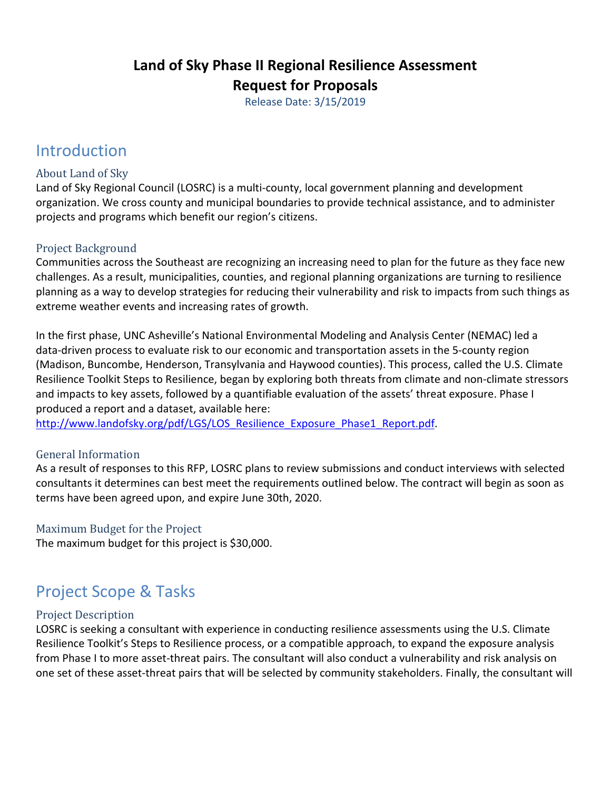## **Land of Sky Phase II Regional Resilience Assessment Request for Proposals**

Release Date: 3/15/2019

# Introduction

#### About Land of Sky

Land of Sky Regional Council (LOSRC) is a multi‐county, local government planning and development organization. We cross county and municipal boundaries to provide technical assistance, and to administer projects and programs which benefit our region's citizens.

#### Project Background

Communities across the Southeast are recognizing an increasing need to plan for the future as they face new challenges. As a result, municipalities, counties, and regional planning organizations are turning to resilience planning as a way to develop strategies for reducing their vulnerability and risk to impacts from such things as extreme weather events and increasing rates of growth.

In the first phase, UNC Asheville's National Environmental Modeling and Analysis Center (NEMAC) led a data‐driven process to evaluate risk to our economic and transportation assets in the 5‐county region (Madison, Buncombe, Henderson, Transylvania and Haywood counties). This process, called the U.S. Climate Resilience Toolkit Steps to Resilience, began by exploring both threats from climate and non‐climate stressors and impacts to key assets, followed by a quantifiable evaluation of the assets' threat exposure. Phase I produced a report and a dataset, available here:

http://www.landofsky.org/pdf/LGS/LOS\_Resilience\_Exposure\_Phase1\_Report.pdf.

#### General Information

As a result of responses to this RFP, LOSRC plans to review submissions and conduct interviews with selected consultants it determines can best meet the requirements outlined below. The contract will begin as soon as terms have been agreed upon, and expire June 30th, 2020.

#### Maximum Budget for the Project

The maximum budget for this project is \$30,000.

# Project Scope & Tasks

#### Project Description

LOSRC is seeking a consultant with experience in conducting resilience assessments using the U.S. Climate Resilience Toolkit's Steps to Resilience process, or a compatible approach, to expand the exposure analysis from Phase I to more asset-threat pairs. The consultant will also conduct a vulnerability and risk analysis on one set of these asset‐threat pairs that will be selected by community stakeholders. Finally, the consultant will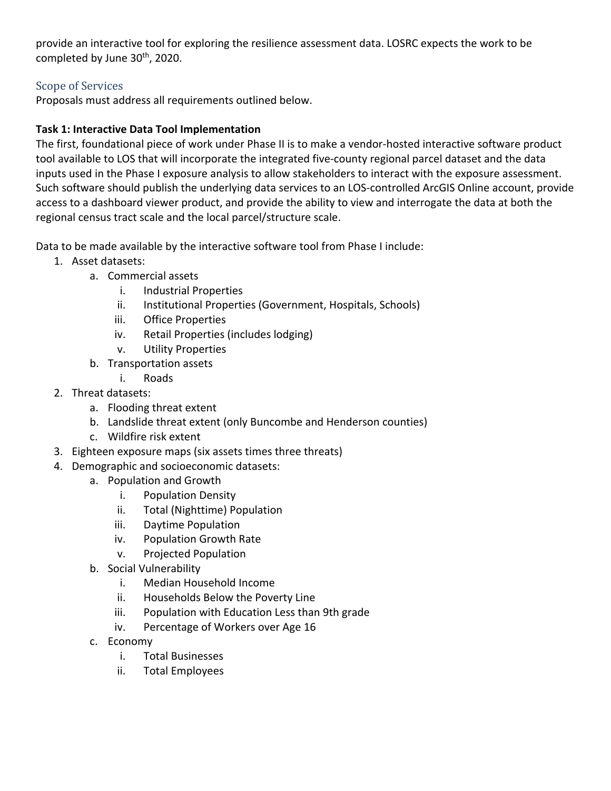provide an interactive tool for exploring the resilience assessment data. LOSRC expects the work to be completed by June 30<sup>th</sup>, 2020.

#### Scope of Services

Proposals must address all requirements outlined below.

#### **Task 1: Interactive Data Tool Implementation**

The first, foundational piece of work under Phase II is to make a vendor‐hosted interactive software product tool available to LOS that will incorporate the integrated five‐county regional parcel dataset and the data inputs used in the Phase I exposure analysis to allow stakeholders to interact with the exposure assessment. Such software should publish the underlying data services to an LOS‐controlled ArcGIS Online account, provide access to a dashboard viewer product, and provide the ability to view and interrogate the data at both the regional census tract scale and the local parcel/structure scale.

Data to be made available by the interactive software tool from Phase I include:

- 1. Asset datasets:
	- a. Commercial assets
		- i. Industrial Properties
		- ii. Institutional Properties (Government, Hospitals, Schools)
		- iii. Office Properties
		- iv. Retail Properties (includes lodging)
		- v. Utility Properties
	- b. Transportation assets
		- i. Roads
- 2. Threat datasets:
	- a. Flooding threat extent
	- b. Landslide threat extent (only Buncombe and Henderson counties)
	- c. Wildfire risk extent
- 3. Eighteen exposure maps (six assets times three threats)
- 4. Demographic and socioeconomic datasets:
	- a. Population and Growth
		- i. Population Density
		- ii. Total (Nighttime) Population
		- iii. Daytime Population
		- iv. Population Growth Rate
		- v. Projected Population
	- b. Social Vulnerability
		- i. Median Household Income
		- ii. Households Below the Poverty Line
		- iii. Population with Education Less than 9th grade
		- iv. Percentage of Workers over Age 16
	- c. Economy
		- i. Total Businesses
		- ii. Total Employees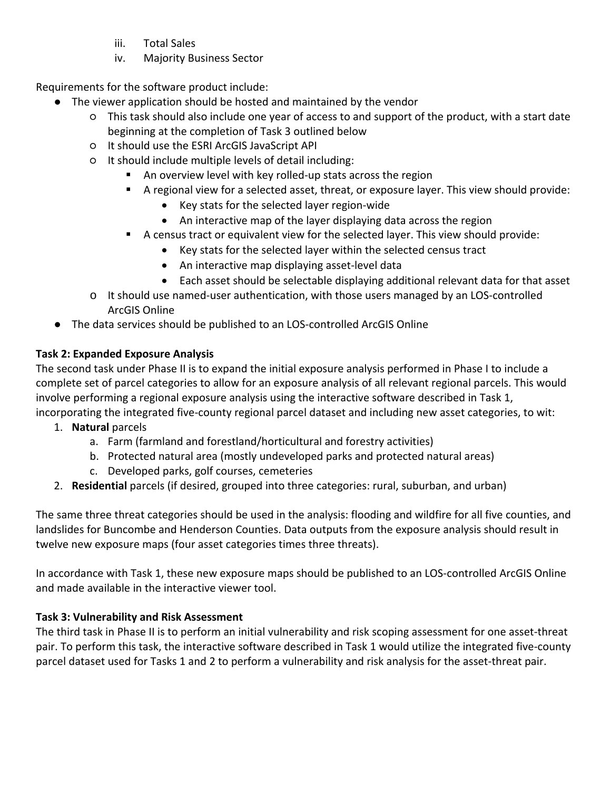- iii. Total Sales
- iv. Majority Business Sector

Requirements for the software product include:

- The viewer application should be hosted and maintained by the vendor
	- This task should also include one year of access to and support of the product, with a start date beginning at the completion of Task 3 outlined below
	- It should use the ESRI ArcGIS JavaScript API
	- It should include multiple levels of detail including:
		- An overview level with key rolled-up stats across the region
		- A regional view for a selected asset, threat, or exposure layer. This view should provide:
			- Key stats for the selected layer region-wide
			- An interactive map of the layer displaying data across the region
		- A census tract or equivalent view for the selected layer. This view should provide:
			- Key stats for the selected layer within the selected census tract
			- An interactive map displaying asset-level data
			- Each asset should be selectable displaying additional relevant data for that asset
	- o It should use named‐user authentication, with those users managed by an LOS‐controlled ArcGIS Online
- The data services should be published to an LOS-controlled ArcGIS Online

### **Task 2: Expanded Exposure Analysis**

The second task under Phase II is to expand the initial exposure analysis performed in Phase I to include a complete set of parcel categories to allow for an exposure analysis of all relevant regional parcels. This would involve performing a regional exposure analysis using the interactive software described in Task 1, incorporating the integrated five‐county regional parcel dataset and including new asset categories, to wit:

- 1. **Natural** parcels
	- a. Farm (farmland and forestland/horticultural and forestry activities)
	- b. Protected natural area (mostly undeveloped parks and protected natural areas)
	- c. Developed parks, golf courses, cemeteries
- 2. **Residential** parcels (if desired, grouped into three categories: rural, suburban, and urban)

The same three threat categories should be used in the analysis: flooding and wildfire for all five counties, and landslides for Buncombe and Henderson Counties. Data outputs from the exposure analysis should result in twelve new exposure maps (four asset categories times three threats).

In accordance with Task 1, these new exposure maps should be published to an LOS‐controlled ArcGIS Online and made available in the interactive viewer tool.

### **Task 3: Vulnerability and Risk Assessment**

The third task in Phase II is to perform an initial vulnerability and risk scoping assessment for one asset‐threat pair. To perform this task, the interactive software described in Task 1 would utilize the integrated five‐county parcel dataset used for Tasks 1 and 2 to perform a vulnerability and risk analysis for the asset‐threat pair.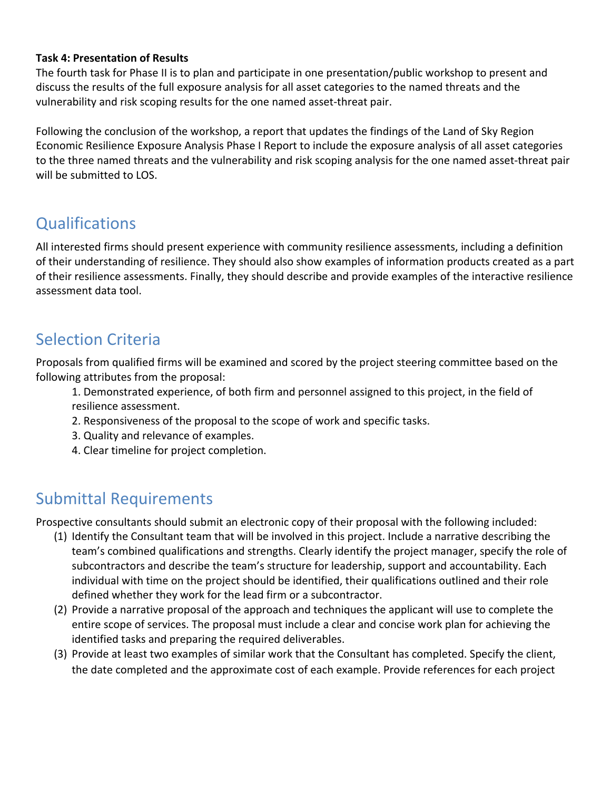#### **Task 4: Presentation of Results**

The fourth task for Phase II is to plan and participate in one presentation/public workshop to present and discuss the results of the full exposure analysis for all asset categories to the named threats and the vulnerability and risk scoping results for the one named asset‐threat pair.

Following the conclusion of the workshop, a report that updates the findings of the Land of Sky Region Economic Resilience Exposure Analysis Phase I Report to include the exposure analysis of all asset categories to the three named threats and the vulnerability and risk scoping analysis for the one named asset‐threat pair will be submitted to LOS.

# **Qualifications**

All interested firms should present experience with community resilience assessments, including a definition of their understanding of resilience. They should also show examples of information products created as a part of their resilience assessments. Finally, they should describe and provide examples of the interactive resilience assessment data tool.

## Selection Criteria

Proposals from qualified firms will be examined and scored by the project steering committee based on the following attributes from the proposal:

- 1. Demonstrated experience, of both firm and personnel assigned to this project, in the field of resilience assessment.
- 2. Responsiveness of the proposal to the scope of work and specific tasks.
- 3. Quality and relevance of examples.
- 4. Clear timeline for project completion.

## Submittal Requirements

Prospective consultants should submit an electronic copy of their proposal with the following included:

- (1) Identify the Consultant team that will be involved in this project. Include a narrative describing the team's combined qualifications and strengths. Clearly identify the project manager, specify the role of subcontractors and describe the team's structure for leadership, support and accountability. Each individual with time on the project should be identified, their qualifications outlined and their role defined whether they work for the lead firm or a subcontractor.
- (2) Provide a narrative proposal of the approach and techniques the applicant will use to complete the entire scope of services. The proposal must include a clear and concise work plan for achieving the identified tasks and preparing the required deliverables.
- (3) Provide at least two examples of similar work that the Consultant has completed. Specify the client, the date completed and the approximate cost of each example. Provide references for each project